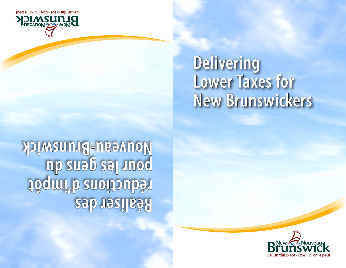# **Delivering Lower Taxes for New Brunswickers**

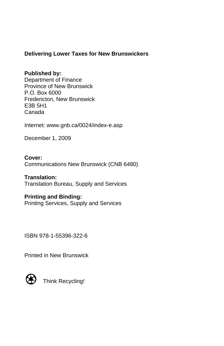## **Delivering Lower Taxes for New Brunswickers**

### **Published by:**

Department of Finance Province of New Brunswick P.O. Box 6000 Fredericton, New Brunswick E3B 5H1 Canada

Internet: www.gnb.ca/0024/index-e.asp

December 1, 2009

**Cover:** Communications New Brunswick (CNB 6480)

#### **Translation:**

Translation Bureau, Supply and Services

#### **Printing and Binding:**

Printing Services, Supply and Services

ISBN 978-1-55396-322-6

Printed in New Brunswick



Think Recycling!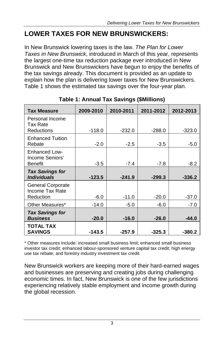## **LOWER TAXES FOR NEW BRUNSWICKERS:**

In New Brunswick lowering taxes is the law. *The Plan for Lower Taxes in New Brunswick*, introduced in March of this year, represents the largest one-time tax reduction package ever introduced in New Brunswick and New Brunswickers have begun to enjoy the benefits of the tax savings already. This document is provided as an update to explain how the plan is delivering lower taxes for New Brunswickers. Table 1 shows the estimated tax savings over the four-year plan.

| <b>Tax Measure</b>                                        | 2009-2010 | 2010-2011 | 2011-2012 | 2012-2013 |
|-----------------------------------------------------------|-----------|-----------|-----------|-----------|
| Personal Income<br>Tax Rate                               |           |           |           |           |
| <b>Reductions</b>                                         | $-118.0$  | $-232.0$  | $-288.0$  | $-323.0$  |
| <b>Enhanced Tuition</b><br>Rebate                         | $-2.0$    | $-2.5$    | $-3.5$    | $-5.0$    |
| <b>Enhanced Low-</b><br>Income Seniors'<br><b>Benefit</b> | $-3.5$    | $-7.4$    | $-7.8$    |           |
|                                                           |           |           |           | $-8.2$    |
| <b>Tax Savings for</b>                                    |           |           |           |           |
| <b>Individuals</b>                                        | $-123.5$  | $-241.9$  | $-299.3$  | $-336.2$  |
| <b>General Corporate</b><br>Income Tax Rate               |           |           |           |           |
| Reduction                                                 | $-6.0$    | $-11.0$   | $-20.0$   | $-37.0$   |
| Other Measures*                                           | $-14.0$   | $-5.0$    | $-6.0$    | $-7.0$    |
| <b>Tax Savings for</b><br><b>Business</b>                 | $-20.0$   | $-16.0$   | $-26.0$   | $-44.0$   |
| <b>TOTAL TAX</b><br><b>SAVINGS</b>                        | $-143.5$  | $-257.9$  | $-325.3$  | $-380.2$  |

**Table 1: Annual Tax Savings (\$Millions)** 

\* Other measures include: increased small business limit; enhanced small business investor tax credit; enhanced labour-sponsored venture capital tax credit; high energy use tax rebate; and forestry industry investment tax credit.

New Brunswick workers are keeping more of their hard-earned wages and businesses are preserving and creating jobs during challenging economic times. In fact, New Brunswick is one of the few jurisdictions experiencing relatively stable employment and income growth during the global recession.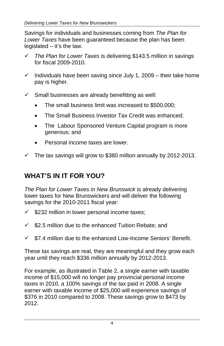Savings for individuals and businesses coming from *The Plan for Lower Taxes* have been guaranteed because the plan has been legislated – it's the law.

- 9 *The Plan for Lower Taxes* is delivering \$143.5 million in savings for fiscal 2009-2010.
- $\checkmark$  Individuals have been saving since July 1, 2009 their take home pay is higher.
- $\checkmark$  Small businesses are already benefitting as well:
	- The small business limit was increased to \$500,000;
	- The Small Business Investor Tax Credit was enhanced:
	- The Labour Sponsored Venture Capital program is more generous; and
	- Personal income taxes are lower.
- $\checkmark$  The tax savings will grow to \$380 million annually by 2012-2013.

# **WHAT'S IN IT FOR YOU?**

*The Plan for Lower Taxes in New Brunswick* is already delivering lower taxes for New Brunswickers and will deliver the following savings for the 2010-2011 fiscal year:

- $\checkmark$  \$232 million in lower personal income taxes;
- $\checkmark$  \$2.5 million due to the enhanced Tuition Rebate; and
- $\checkmark$  \$7.4 million due to the enhanced Low-Income Seniors' Benefit.

These tax savings are real, they are meaningful and they grow each year until they reach \$336 million annually by 2012-2013.

For example, as illustrated in Table 2, a single earner with taxable income of \$15,000 will no longer pay provincial personal income taxes in 2010, a 100% savings of the tax paid in 2008. A single earner with taxable income of \$25,000 will experience savings of \$376 in 2010 compared to 2008. These savings grow to \$473 by 2012.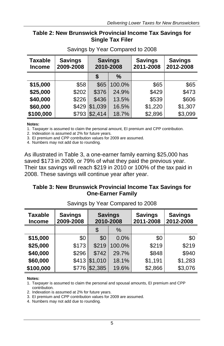### **Table 2: New Brunswick Provincial Income Tax Savings for Single Tax Filer**

| <b>Taxable</b><br><b>Income</b> | <b>Savings</b><br>2009-2008 | <b>Savings</b><br>2010-2008 |        | <b>Savings</b><br>2011-2008 | <b>Savings</b><br>2012-2008 |
|---------------------------------|-----------------------------|-----------------------------|--------|-----------------------------|-----------------------------|
|                                 |                             |                             | %      |                             |                             |
| \$15,000                        | \$58                        | \$65                        | 100.0% | \$65                        | \$65                        |
| \$25,000                        | \$202                       | \$376                       | 24.9%  | \$429                       | \$473                       |
| \$40,000                        | \$226                       | \$436                       | 13.5%  | \$539                       | \$606                       |
| \$60,000                        | \$429                       | \$1,039                     | 16.5%  | \$1,220                     | \$1,307                     |
| \$100,000                       | \$793                       | \$2,414                     | 18.7%  | \$2,896                     | \$3,099                     |

Savings by Year Compared to 2008

#### **Notes:**

1. Taxpayer is assumed to claim the personal amount, EI premium and CPP contribution.

2. Indexation is assumed at 2% for future years.

3. EI premium and CPP contribution values for 2009 are assumed.

4. Numbers may not add due to rounding.

As illustrated in Table 3, a one-earner family earning \$25,000 has saved \$173 in 2009, or 79% of what they paid the previous year. Their tax savings will reach \$219 in 2010 or 100% of the tax paid in 2008. These savings will continue year after year.

### **Table 3: New Brunswick Provincial Income Tax Savings for One-Earner Family**

| <b>Taxable</b><br><b>Income</b> | <b>Savings</b><br>2009-2008 | <b>Savings</b><br>2010-2008 |        | <b>Savings</b><br>2011-2008 | <b>Savings</b><br>2012-2008 |  |  |  |  |
|---------------------------------|-----------------------------|-----------------------------|--------|-----------------------------|-----------------------------|--|--|--|--|
|                                 |                             |                             | %      |                             |                             |  |  |  |  |
| \$15,000                        | \$0                         | \$0                         | 0.0%   | \$0                         | \$0                         |  |  |  |  |
| \$25,000                        | \$173                       | \$219                       | 100.0% | \$219                       | \$219                       |  |  |  |  |
| \$40,000                        | \$296                       | \$742                       | 29.7%  | \$848                       | \$940                       |  |  |  |  |
| \$60,000                        | \$413                       | \$1,010                     | 18.1%  | \$1,191                     | \$1,283                     |  |  |  |  |
| \$100,000                       | \$776                       | \$2,385                     | 19.6%  | \$2,866                     | \$3,076                     |  |  |  |  |

Savings by Year Compared to 2008

#### **Notes:**

1. Taxpayer is assumed to claim the personal and spousal amounts, EI premium and CPP contribution.

2. Indexation is assumed at 2% for future years.

3. EI premium and CPP contribution values for 2009 are assumed.

4. Numbers may not add due to rounding.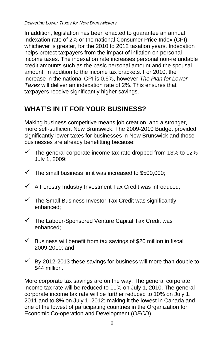In addition, legislation has been enacted to guarantee an annual indexation rate of 2% or the national Consumer Price Index (CPI), whichever is greater, for the 2010 to 2012 taxation years. Indexation helps protect taxpayers from the impact of inflation on personal income taxes. The indexation rate increases personal non-refundable credit amounts such as the basic personal amount and the spousal amount, in addition to the income tax brackets. For 2010, the increase in the national CPI is 0.6%, however *The Plan for Lower Taxes* will deliver an indexation rate of 2%. This ensures that taxpayers receive significantly higher savings.

## **WHAT'S IN IT FOR YOUR BUSINESS?**

Making business competitive means job creation, and a stronger, more self-sufficient New Brunswick. The 2009-2010 Budget provided significantly lower taxes for businesses in New Brunswick and those businesses are already benefitting because:

- $\checkmark$  The general corporate income tax rate dropped from 13% to 12% July 1, 2009;
- $\checkmark$  The small business limit was increased to \$500,000;
- $\checkmark$  A Forestry Industry Investment Tax Credit was introduced;
- $\checkmark$  The Small Business Investor Tax Credit was significantly enhanced;
- $\checkmark$  The Labour-Sponsored Venture Capital Tax Credit was enhanced;
- $\checkmark$  Business will benefit from tax savings of \$20 million in fiscal 2009-2010; and
- $\checkmark$  By 2012-2013 these savings for business will more than double to \$44 million.

More corporate tax savings are on the way. The general corporate income tax rate will be reduced to 11% on July 1, 2010. The general corporate income tax rate will be further reduced to 10% on July 1, 2011 and to 8% on July 1, 2012; making it the lowest in Canada and one of the lowest of participating countries in the [Organization for](http://www.oecd.org/)  [Economic Co-operation and Development \(](http://www.oecd.org/)*OECD*).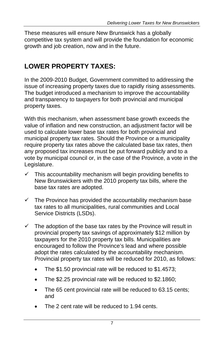These measures will ensure New Brunswick has a globally competitive tax system and will provide the foundation for economic growth and job creation, now and in the future.

## **LOWER PROPERTY TAXES:**

In the 2009-2010 Budget, Government committed to addressing the issue of increasing property taxes due to rapidly rising assessments. The budget introduced a mechanism to improve the accountability and transparency to taxpayers for both provincial and municipal property taxes.

With this mechanism, when assessment base growth exceeds the value of inflation and new construction, an adjustment factor will be used to calculate lower base tax rates for both provincial and municipal property tax rates. Should the Province or a municipality require property tax rates above the calculated base tax rates, then any proposed tax increases must be put forward publicly and to a vote by municipal council or, in the case of the Province, a vote in the Legislature.

- $\checkmark$  This accountability mechanism will begin providing benefits to New Brunswickers with the 2010 property tax bills, where the base tax rates are adopted.
- $\checkmark$  The Province has provided the accountability mechanism base tax rates to all municipalities, rural communities and Local Service Districts (LSDs).
- $\checkmark$  The adoption of the base tax rates by the Province will result in provincial property tax savings of approximately \$12 million by taxpayers for the 2010 property tax bills. Municipalities are encouraged to follow the Province's lead and where possible adopt the rates calculated by the accountability mechanism. Provincial property tax rates will be reduced for 2010, as follows:
	- The \$1.50 provincial rate will be reduced to \$1.4573;
	- The \$2.25 provincial rate will be reduced to \$2.1860;
	- The 65 cent provincial rate will be reduced to 63.15 cents; and
	- The 2 cent rate will be reduced to 1.94 cents.